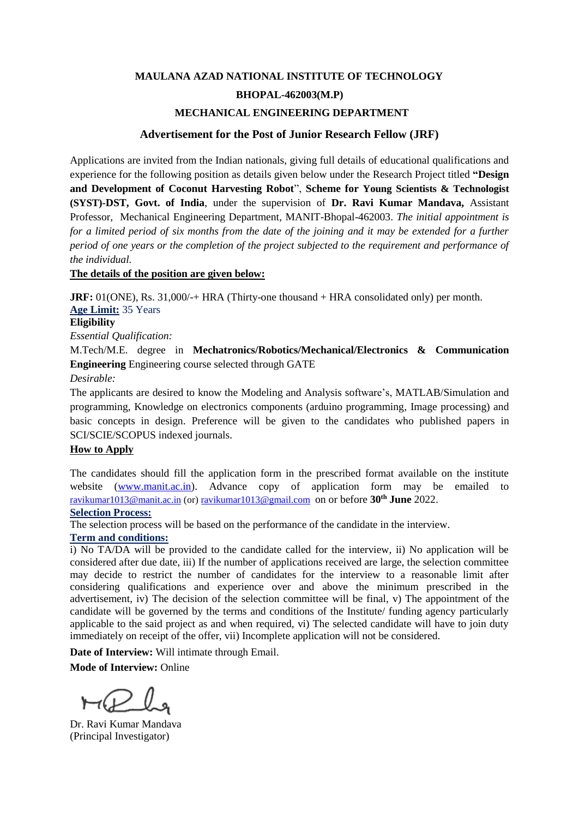# **MAULANA AZAD NATIONAL INSTITUTE OF TECHNOLOGY**

# **BHOPAL-462003(M.P)**

### **MECHANICAL ENGINEERING DEPARTMENT**

### **Advertisement for the Post of Junior Research Fellow (JRF)**

Applications are invited from the Indian nationals, giving full details of educational qualifications and experience for the following position as details given below under the Research Project titled **"Design and Development of Coconut Harvesting Robot**", **Scheme for Young Scientists & Technologist (SYST)-DST, Govt. of India**, under the supervision of **Dr. Ravi Kumar Mandava,** Assistant Professor, Mechanical Engineering Department, MANIT-Bhopal-462003. *The initial appointment is for a limited period of six months from the date of the joining and it may be extended for a further period of one years or the completion of the project subjected to the requirement and performance of the individual.*

#### **The details of the position are given below:**

**JRF:** 01(ONE), Rs. 31,000/-+ HRA (Thirty-one thousand + HRA consolidated only) per month. **Age Limit:** 35 Years

#### **Eligibility**

*Essential Qualification:* 

M.Tech/M.E. degree in **Mechatronics/Robotics/Mechanical/Electronics & Communication Engineering** Engineering course selected through GATE

### *Desirable:*

The applicants are desired to know the Modeling and Analysis software's, MATLAB/Simulation and programming, Knowledge on electronics components (arduino programming, Image processing) and basic concepts in design. Preference will be given to the candidates who published papers in SCI/SCIE/SCOPUS indexed journals.

#### **How to Apply**

The candidates should fill the application form in the prescribed format available on the institute website [\(www.manit.ac.in\)](http://www.manit.ac.in/). Advance copy of application form may be emailed to [ravikumar1013@manit.ac.in](mailto:ravikumar1013@manit.ac.in) (or[\) ravikumar1013@gmail.com](mailto:ravikumar1013@gmail.com) on or before **30th June** 2022.

# **Selection Process:**

The selection process will be based on the performance of the candidate in the interview.

# **Term and conditions:**

i) No TA/DA will be provided to the candidate called for the interview, ii) No application will be considered after due date, iii) If the number of applications received are large, the selection committee may decide to restrict the number of candidates for the interview to a reasonable limit after considering qualifications and experience over and above the minimum prescribed in the advertisement, iv) The decision of the selection committee will be final, v) The appointment of the candidate will be governed by the terms and conditions of the Institute/ funding agency particularly applicable to the said project as and when required, vi) The selected candidate will have to join duty immediately on receipt of the offer, vii) Incomplete application will not be considered.

**Date of Interview:** Will intimate through Email.

**Mode of Interview:** Online

Dr. Ravi Kumar Mandava (Principal Investigator)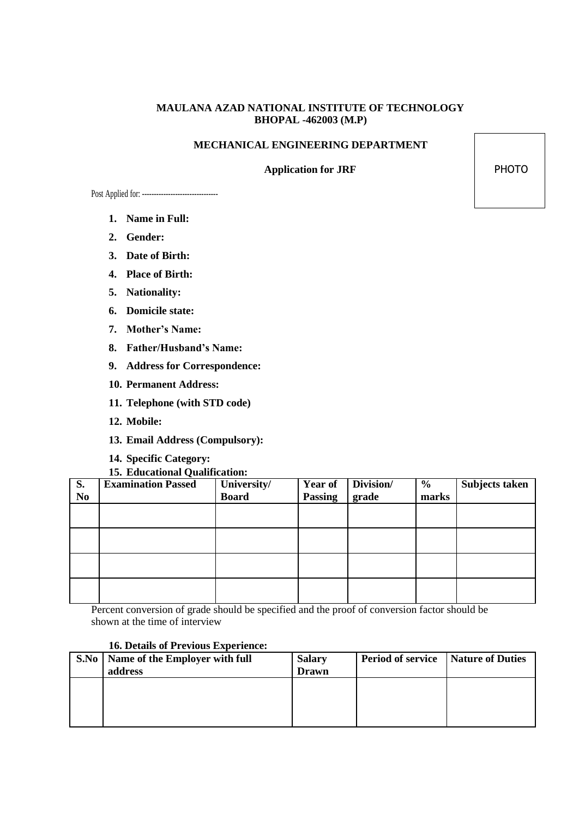# **MAULANA AZAD NATIONAL INSTITUTE OF TECHNOLOGY BHOPAL -462003 (M.P)**

# **MECHANICAL ENGINEERING DEPARTMENT**

# **Application for JRF** PHOTO

Post Applied for: --------------------------------

- **1. Name in Full:**
- **2. Gender:**
- **3. Date of Birth:**
- **4. Place of Birth:**
- **5. Nationality:**
- **6. Domicile state:**
- **7. Mother's Name:**
- **8. Father/Husband's Name:**
- **9. Address for Correspondence:**
- **10. Permanent Address:**
- **11. Telephone (with STD code)**
- **12. Mobile:**
- **13. Email Address (Compulsory):**
- **14. Specific Category:**

## **15. Educational Qualification:**

| S.             | <b>Examination Passed</b> | University/  | <b>Year of</b> | Division/ | $\frac{6}{6}$ | Subjects taken |
|----------------|---------------------------|--------------|----------------|-----------|---------------|----------------|
| N <sub>0</sub> |                           | <b>Board</b> | <b>Passing</b> | grade     | marks         |                |
|                |                           |              |                |           |               |                |
|                |                           |              |                |           |               |                |
|                |                           |              |                |           |               |                |
|                |                           |              |                |           |               |                |
|                |                           |              |                |           |               |                |
|                |                           |              |                |           |               |                |
|                |                           |              |                |           |               |                |
|                |                           |              |                |           |               |                |

Percent conversion of grade should be specified and the proof of conversion factor should be shown at the time of interview

# **16. Details of Previous Experience:**

| S.No   Name of the Employer with full<br>address | <b>Salary</b><br>Drawn | <b>Period of service</b> Nature of Duties |  |
|--------------------------------------------------|------------------------|-------------------------------------------|--|
|                                                  |                        |                                           |  |
|                                                  |                        |                                           |  |